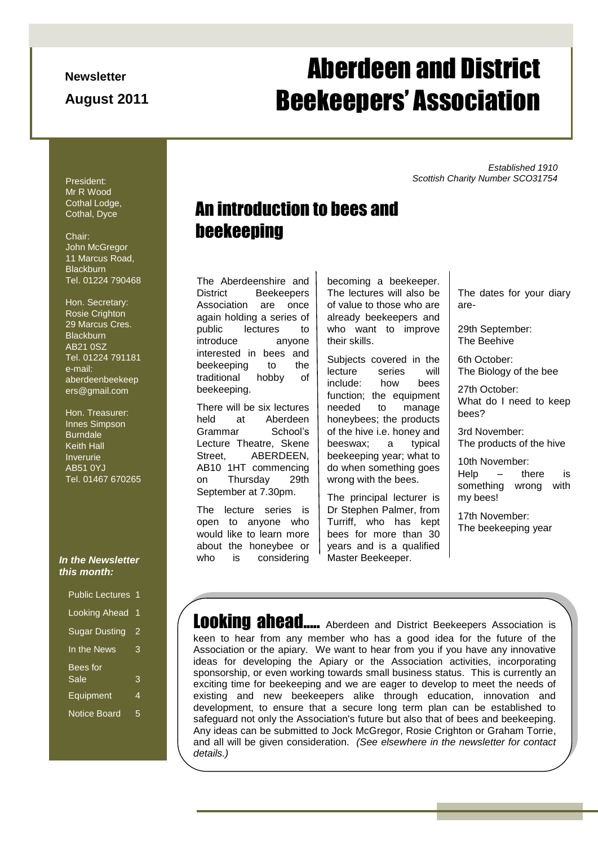**Newsletter**

**August 2011**

# Page 1 of 5 ADBA Newsletter Aberdeen and District Beekeepers' Association

*Established 1910 Scottish Charity Number SCO31754*

President: Mr R Wood Cothal Lodge, Cothal, Dyce

#### Chair: John McGregor 11 Marcus Road, **Blackburn** Tel. 01224 790468

Hon. Secretary: Rosie Crighton 29 Marcus Cres. **Blackburn** AB21 0SZ Tel. 01224 791181 e-mail: aberdeenbeekeep ers@gmail.com

Hon. Treasurer: Innes Simpson **Burndale** Keith Hall Inverurie AB51 0YJ Tel. 01467 670265

#### *In the Newsletter this month:*

| Public Lectures 1    |   |
|----------------------|---|
| <b>Looking Ahead</b> | 1 |
| <b>Sugar Dusting</b> | 2 |
| In the News          | 3 |
| Bees for             |   |
| Sale                 | 3 |
| Equipment            | 4 |
| <b>Notice Board</b>  | 5 |

## An introduction to bees and beekeeping

The Aberdeenshire and District Beekeepers Association are once again holding a series of public lectures to introduce anyone interested in bees and beekeeping to the traditional hobby of beekeeping.

There will be six lectures held at Aberdeen Grammar School"s Lecture Theatre, Skene Street, ABERDEEN, AB10 1HT commencing on Thursday 29th September at 7.30pm.

The lecture series is open to anyone who would like to learn more about the honeybee or who is considering

becoming a beekeeper. The lectures will also be of value to those who are already beekeepers and who want to improve their skills.

Subjects covered in the lecture series will include: how bees function; the equipment needed to manage honeybees; the products of the hive i.e. honey and beeswax; a typical beekeeping year; what to do when something goes wrong with the bees.

The principal lecturer is Dr Stephen Palmer, from Turriff, who has kept bees for more than 30 years and is a qualified Master Beekeeper.

The dates for your diary are-

29th September: The Beehive

6th October: The Biology of the bee

27th October: What do I need to keep bees?

3rd November: The products of the hive

10th November: Help – there is something wrong with my bees!

17th November: The beekeeping year

Looking ahead..... Aberdeen and District Beekeepers Association is keen to hear from any member who has a good idea for the future of the Association or the apiary. We want to hear from you if you have any innovative ideas for developing the Apiary or the Association activities, incorporating sponsorship, or even working towards small business status. This is currently an exciting time for beekeeping and we are eager to develop to meet the needs of existing and new beekeepers alike through education, innovation and development, to ensure that a secure long term plan can be established to safeguard not only the Association's future but also that of bees and beekeeping. Any ideas can be submitted to Jock McGregor, Rosie Crighton or Graham Torrie, and all will be given consideration. *(See elsewhere in the newsletter for contact details.)*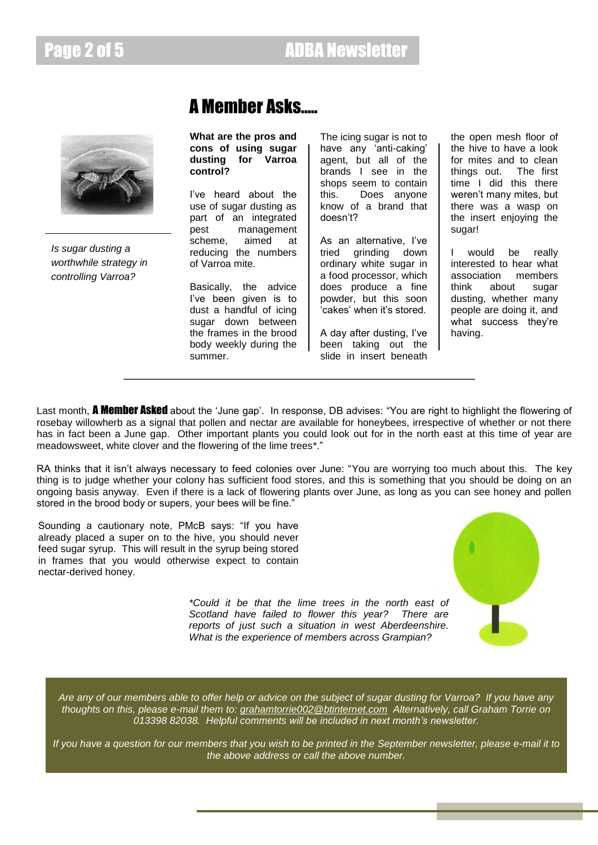

*Is sugar dusting a worthwhile strategy in controlling Varroa?*

# A Member Asks…..

**What are the pros and cons of using sugar dusting for Varroa control?**

I"ve heard about the use of sugar dusting as part of an integrated pest management scheme, aimed at reducing the numbers of Varroa mite.

Basically, the advice I"ve been given is to dust a handful of icing sugar down between the frames in the brood body weekly during the summer.

The icing sugar is not to have any 'anti-caking' agent, but all of the brands I see in the shops seem to contain this. Does anyone know of a brand that doesn"t?

As an alternative, I've tried grinding down ordinary white sugar in a food processor, which does produce a fine powder, but this soon 'cakes' when it's stored.

A day after dusting, I"ve been taking out the slide in insert beneath

the open mesh floor of the hive to have a look for mites and to clean things out. The first time I did this there weren"t many mites, but there was a wasp on the insert enjoying the sugar!

I would be really interested to hear what association members think about sugar dusting, whether many people are doing it, and what success they're having.

Last month, **A Member Asked** about the 'June gap'. In response, DB advises: "You are right to highlight the flowering of rosebay willowherb as a signal that pollen and nectar are available for honeybees, irrespective of whether or not there has in fact been a June gap. Other important plants you could look out for in the north east at this time of year are meadowsweet, white clover and the flowering of the lime trees\*."

RA thinks that it isn't always necessary to feed colonies over June: "You are worrying too much about this. The key thing is to judge whether your colony has sufficient food stores, and this is something that you should be doing on an ongoing basis anyway. Even if there is a lack of flowering plants over June, as long as you can see honey and pollen stored in the brood body or supers, your bees will be fine."

Sounding a cautionary note, PMcB says: "If you have already placed a super on to the hive, you should never feed sugar syrup. This will result in the syrup being stored in frames that you would otherwise expect to contain nectar-derived honey.



*\*Could it be that the lime trees in the north east of Scotland have failed to flower this year? There are reports of just such a situation in west Aberdeenshire. What is the experience of members across Grampian?*

*Are any of our members able to offer help or advice on the subject of sugar dusting for Varroa? If you have any thoughts on this, please e-mail them to: [grahamtorrie002@btinternet.com](mailto:grahamtorrie002@btinternet.com) Alternatively, call Graham Torrie on 013398 82038. Helpful comments will be included in next month's newsletter.*

*If you have a question for our members that you wish to be printed in the September newsletter, please e-mail it to the above address or call the above number.*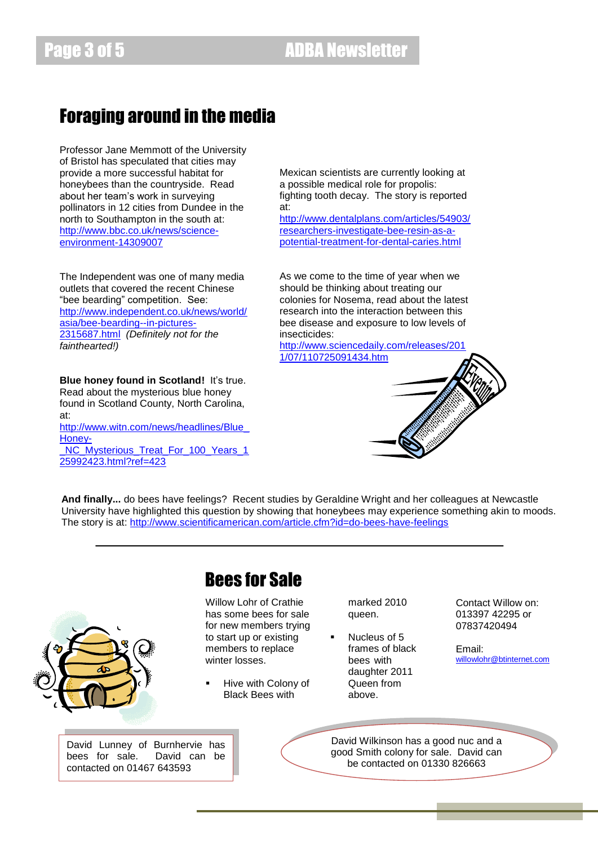## Foraging around in the media

Professor Jane Memmott of the University of Bristol has speculated that cities may provide a more successful habitat for honeybees than the countryside. Read about her team"s work in surveying pollinators in 12 cities from Dundee in the north to Southampton in the south at: [http://www.bbc.co.uk/news/science](http://www.bbc.co.uk/news/science-environment-14309007)[environment-14309007](http://www.bbc.co.uk/news/science-environment-14309007)

The Independent was one of many media outlets that covered the recent Chinese "bee bearding" competition. See: [http://www.independent.co.uk/news/world/](http://www.independent.co.uk/news/world/asia/bee-bearding--in-pictures-2315687.html) [asia/bee-bearding--in-pictures-](http://www.independent.co.uk/news/world/asia/bee-bearding--in-pictures-2315687.html)[2315687.html](http://www.independent.co.uk/news/world/asia/bee-bearding--in-pictures-2315687.html) *(Definitely not for the fainthearted!)*

**Blue honey found in Scotland! It's true.** Read about the mysterious blue honey found in Scotland County, North Carolina, at: [http://www.witn.com/news/headlines/Blue\\_](http://www.witn.com/news/headlines/Blue_Honey-_NC_Mysterious_Treat_For_100_Years_125992423.html?ref=423) [Honey-](http://www.witn.com/news/headlines/Blue_Honey-_NC_Mysterious_Treat_For_100_Years_125992423.html?ref=423) NC\_Mysterious\_Treat\_For\_100\_Years\_1 [25992423.html?ref=423](http://www.witn.com/news/headlines/Blue_Honey-_NC_Mysterious_Treat_For_100_Years_125992423.html?ref=423)

Mexican scientists are currently looking at a possible medical role for propolis: fighting tooth decay. The story is reported at:

[http://www.dentalplans.com/articles/54903/](http://www.dentalplans.com/articles/54903/researchers-investigate-bee-resin-as-a-potential-treatment-for-dental-caries.html) [researchers-investigate-bee-resin-as-a](http://www.dentalplans.com/articles/54903/researchers-investigate-bee-resin-as-a-potential-treatment-for-dental-caries.html)[potential-treatment-for-dental-caries.html](http://www.dentalplans.com/articles/54903/researchers-investigate-bee-resin-as-a-potential-treatment-for-dental-caries.html)

As we come to the time of year when we should be thinking about treating our colonies for Nosema, read about the latest research into the interaction between this bee disease and exposure to low levels of insecticides:

[http://www.sciencedaily.com/releases/201](http://www.sciencedaily.com/releases/2011/07/110725091434.htm) [1/07/110725091434.htm](http://www.sciencedaily.com/releases/2011/07/110725091434.htm)



**And finally...** do bees have feelings? Recent studies by Geraldine Wright and her colleagues at Newcastle University have highlighted this question by showing that honeybees may experience something akin to moods. The story is at:<http://www.scientificamerican.com/article.cfm?id=do-bees-have-feelings>



# Bees for Sale

Willow Lohr of Crathie has some bees for sale for new members trying to start up or existing members to replace winter losses.

 Hive with Colony of Black Bees with

marked 2010 queen.

**Nucleus of 5** frames of black bees with daughter 2011 Queen from above.

Contact Willow on: 013397 42295 or 07837420494

Email: [willowlohr@btinternet.com](mailto:willowlohr@btinternet.com)

David Wilkinson has a good nuc and a good Smith colony for sale. David can be contacted on 01330 826663

David Lunney of Burnhervie has bees for sale. David can be contacted on 01467 643593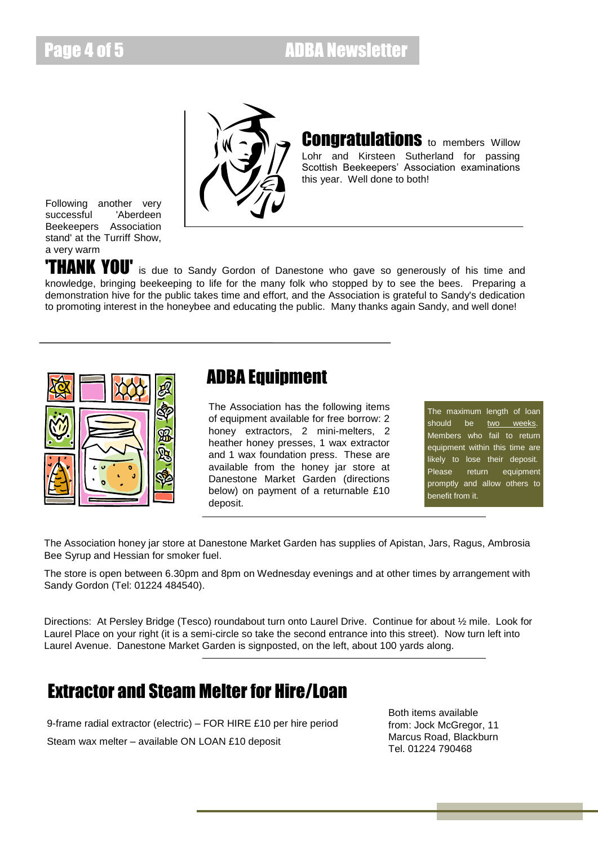## Page 4 of 5 **ADBA Newsletter**





**Congratulations** to members Willow Lohr and Kirsteen Sutherland for passing Scottish Beekeepers' Association examinations this year. Well done to both!

Following another very successful 'Aberdeen Beekeepers Association stand' at the Turriff Show, a very warm

**THANK YOU'** is due to Sandy Gordon of Danestone who gave so generously of his time and knowledge, bringing beekeeping to life for the many folk who stopped by to see the bees. Preparing a demonstration hive for the public takes time and effort, and the Association is grateful to Sandy's dedication to promoting interest in the honeybee and educating the public. Many thanks again Sandy, and well done!



### ADBA Equipment

The Association has the following items of equipment available for free borrow: 2 honey extractors, 2 mini-melters, 2 heather honey presses, 1 wax extractor and 1 wax foundation press. These are available from the honey jar store at Danestone Market Garden (directions below) on payment of a returnable £10 deposit.

The maximum length of loan should be two weeks. Members who fail to return equipment within this time are likely to lose their deposit. Please return equipment promptly and allow others to benefit from it.

The Association honey jar store at Danestone Market Garden has supplies of Apistan, Jars, Ragus, Ambrosia Bee Syrup and Hessian for smoker fuel.

The store is open between 6.30pm and 8pm on Wednesday evenings and at other times by arrangement with Sandy Gordon (Tel: 01224 484540).

Directions: At Persley Bridge (Tesco) roundabout turn onto Laurel Drive. Continue for about ½ mile. Look for Laurel Place on your right (it is a semi-circle so take the second entrance into this street). Now turn left into Laurel Avenue. Danestone Market Garden is signposted, on the left, about 100 yards along.

## Extractor and Steam Melter for Hire/Loan

9-frame radial extractor (electric) – FOR HIRE £10 per hire period Steam wax melter – available ON LOAN £10 deposit

Both items available from: Jock McGregor, 11 Marcus Road, Blackburn Tel. 01224 790468